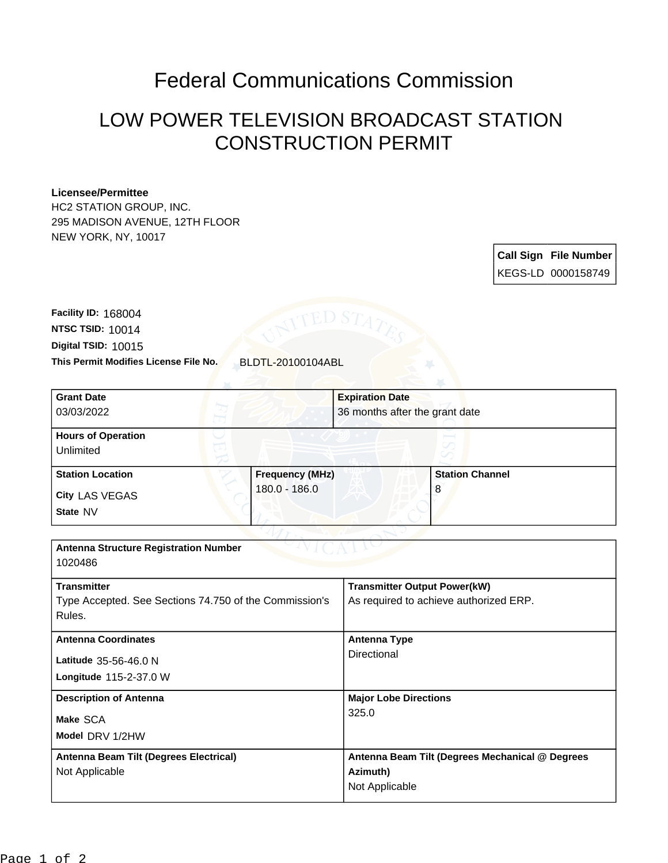## Federal Communications Commission

## LOW POWER TELEVISION BROADCAST STATION CONSTRUCTION PERMIT

## **Licensee/Permittee**

HC2 STATION GROUP, INC. 295 MADISON AVENUE, 12TH FLOOR NEW YORK, NY, 10017

> **Call Sign File Number** KEGS-LD 0000158749

**This Permit Modifies License File No.** BLDTL-20100104ABL **Digital TSID:** 10015 **NTSC TSID:** 10014 **Facility ID:** 168004

| <b>Grant Date</b>                                      |                        | <b>Expiration Date</b>                          |                        |
|--------------------------------------------------------|------------------------|-------------------------------------------------|------------------------|
| 03/03/2022                                             |                        | 36 months after the grant date                  |                        |
| <b>Hours of Operation</b>                              |                        |                                                 |                        |
| Unlimited                                              |                        |                                                 |                        |
| <b>Station Location</b>                                | <b>Frequency (MHz)</b> |                                                 | <b>Station Channel</b> |
| <b>City LAS VEGAS</b>                                  | 180.0 - 186.0          |                                                 | 8                      |
| State NV                                               |                        |                                                 |                        |
|                                                        |                        |                                                 |                        |
| <b>Antenna Structure Registration Number</b>           |                        |                                                 |                        |
| 1020486                                                |                        |                                                 |                        |
| <b>Transmitter</b>                                     |                        | <b>Transmitter Output Power(kW)</b>             |                        |
| Type Accepted. See Sections 74.750 of the Commission's |                        | As required to achieve authorized ERP.          |                        |
| Rules.                                                 |                        |                                                 |                        |
| <b>Antenna Coordinates</b>                             |                        | <b>Antenna Type</b>                             |                        |
| Latitude 35-56-46.0 N                                  |                        | <b>Directional</b>                              |                        |
| Longitude 115-2-37.0 W                                 |                        |                                                 |                        |
| <b>Description of Antenna</b>                          |                        | <b>Major Lobe Directions</b>                    |                        |
| Make SCA                                               |                        | 325.0                                           |                        |
| Model DRV 1/2HW                                        |                        |                                                 |                        |
| Antenna Beam Tilt (Degrees Electrical)                 |                        | Antenna Beam Tilt (Degrees Mechanical @ Degrees |                        |
| Not Applicable                                         |                        | Azimuth)                                        |                        |
|                                                        |                        | Not Applicable                                  |                        |
|                                                        |                        |                                                 |                        |